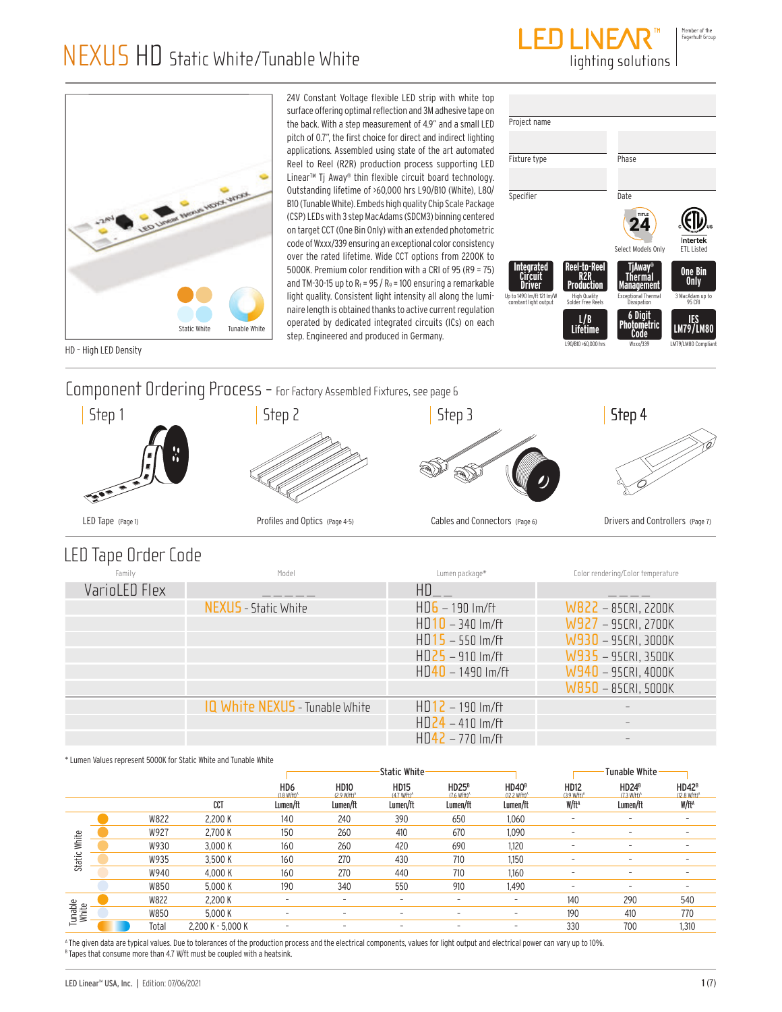



24V Constant Voltage flexible LED strip with white top surface offering optimal reflection and 3M adhesive tape on the back. With a step measurement of 4.9" and a small LED pitch of 0.7", the first choice for direct and indirect lighting applications. Assembled using state of the art automated Reel to Reel (R2R) production process supporting LED Linear™ Tj Away® thin flexible circuit board technology. Outstanding lifetime of >60,000 hrs L90/B10 (White), L80/ B10 (Tunable White). Embeds high quality Chip Scale Package (CSP) LEDs with 3 step MacAdams (SDCM3) binning centered on target CCT (One Bin Only) with an extended photometric code of Wxxx/339 ensuring an exceptional color consistency over the rated lifetime. Wide CCT options from 2200K to 5000K. Premium color rendition with a CRI of 95 (R9 = 75) and TM-30-15 up to  $R_f$  = 95 /  $R_g$  = 100 ensuring a remarkable light quality. Consistent light intensity all along the luminaire length is obtained thanks to active current regulation operated by dedicated integrated circuits (ICs) on each step. Engineered and produced in Germany.

| Project name                                                             |                                                                               |                                                                                     |                                                     |
|--------------------------------------------------------------------------|-------------------------------------------------------------------------------|-------------------------------------------------------------------------------------|-----------------------------------------------------|
|                                                                          |                                                                               |                                                                                     |                                                     |
| Fixture type                                                             |                                                                               | Phase                                                                               |                                                     |
| Specifier                                                                |                                                                               | Date                                                                                |                                                     |
|                                                                          |                                                                               | TITLE<br>74<br>Select Models Only                                                   | Intertek<br><b>FTL Listed</b>                       |
| Integrated<br>IVAI<br>Up to 1490 Im/ft 121 Im/W<br>constant light output | Reel-to-Reel<br><b>Production</b><br><b>High Quality</b><br>Solder Free Reels | TjAway<br>Thermal<br><b>Management</b><br><b>Exceptional Thermal</b><br>Dissipation | <b>One Bin</b><br>Only<br>3 MacAdam up to<br>95 CRI |
|                                                                          | L/B<br><b>Lifetime</b><br>L90/B10 >60.000 hrs                                 | 6 Diait<br>Photometric<br>Code<br>Wxxx/339                                          | IES<br><b>LM79/LM80</b><br>LM79/LM80 Compliant      |

HD – High LED Density

Lomponent Ordering Process - For Factory Assembled Fixtures, see page 6



### LED Tape Order Code

| Family        | Model                          | Lumen package*        | Color rendering/Color temperature |
|---------------|--------------------------------|-----------------------|-----------------------------------|
| VarioLED Flex |                                | $H \cap$              |                                   |
|               | <b>NEXUS</b> - Static White    | $HD6 - 190$ lm/ft     | W822 - 85CRI, 2200K               |
|               |                                | $HD10 - 340$ lm/ft    | W927 - 95CRI, 2700K               |
|               |                                | $HD15 - 550$ Im/ft    | W930 - 95CRI, 3000K               |
|               |                                | $HD25 - 910 Im/ft$    | W935 - 95CRI, 3500K               |
|               |                                | $HD40 - 1490$ $Im/ft$ | W940 - 95CRI, 4000K               |
|               |                                |                       | $W850 - 85CRI, 5000K$             |
|               | IQ White NEXUS - Tunable White | $HD12 - 190$ Im/ft    |                                   |
|               |                                | $HD24 - 410 Im/ft$    |                                   |
|               |                                | $HD42 - 770$ Im/ft    |                                   |

#### \* Lumen Values represent 5000K for Static White and Tunable White

|                  |       |                   | Static White-                     |                                                |                                        | <b>Tunable White</b>       |                                      |                                                  |                                     |                             |
|------------------|-------|-------------------|-----------------------------------|------------------------------------------------|----------------------------------------|----------------------------|--------------------------------------|--------------------------------------------------|-------------------------------------|-----------------------------|
|                  |       |                   | HD <sub>6</sub><br>$(1.8 W/ft)^A$ | <b>HD10</b><br>$(2.9 \text{ W/ft})^{\text{A}}$ | <b>HD15</b><br>(4.7 W/ft) <sup>A</sup> | $HD25^B$<br>$(7.6 W/ft)^4$ | HD40 <sup>B</sup><br>$(12.2 W/ft)^A$ | <b>HD12</b><br>$(3.9 \text{ W/ft})$ <sup>A</sup> | HD24 <sup>B</sup><br>$(7.3 W/ft)^A$ | $HD42^B$<br>$(12.8 W/ft)^4$ |
|                  |       | CCT               | Lumen/ft                          | Lumen/ft                                       | Lumen/ft                               | Lumen/ft                   | Lumen/ft                             | W/ft <sup>A</sup>                                | Lumen/ft                            | W/ft <sup>A</sup>           |
|                  | W822  | 2,200 K           | 140                               | 240                                            | 390                                    | 650                        | 1,060                                | $\overline{\phantom{a}}$                         |                                     |                             |
|                  | W927  | 2.700 K           | 150                               | 260                                            | 410                                    | 670                        | 1,090                                | ۰                                                |                                     |                             |
| White            | W930  | 3,000 K           | 160                               | 260                                            | 420                                    | 690                        | 1,120                                | ۰                                                | $\overline{\phantom{a}}$            |                             |
| Static           | W935  | 3,500 K           | 160                               | 270                                            | 430                                    | 710                        | 1,150                                | ۰                                                |                                     |                             |
|                  | W940  | 4,000 K           | 160                               | 270                                            | 440                                    | 710                        | 1,160                                | ۰                                                |                                     |                             |
|                  | W850  | 5.000 K           | 190                               | 340                                            | 550                                    | 910                        | 1,490                                | ۰                                                | $\overline{\phantom{a}}$            |                             |
|                  | W822  | 2.200 K           | ۰                                 | -                                              | -                                      | ۰                          | $\overline{\phantom{a}}$             | 140                                              | 290                                 | 540                         |
| Tunable<br>White | W850  | 5,000 K           | ۰                                 | -                                              | -                                      | ۰                          | $\overline{\phantom{a}}$             | 190                                              | 410                                 | 770                         |
|                  | Total | 2,200 K - 5,000 K | ۰                                 |                                                |                                        | ۰                          |                                      | 330                                              | 700                                 | 1,310                       |

A The given data are typical values. Due to tolerances of the production process and the electrical components, values for light output and electrical power can vary up to 10%. <sup>8</sup> Tapes that consume more than 4.7 W/ft must be coupled with a heatsink.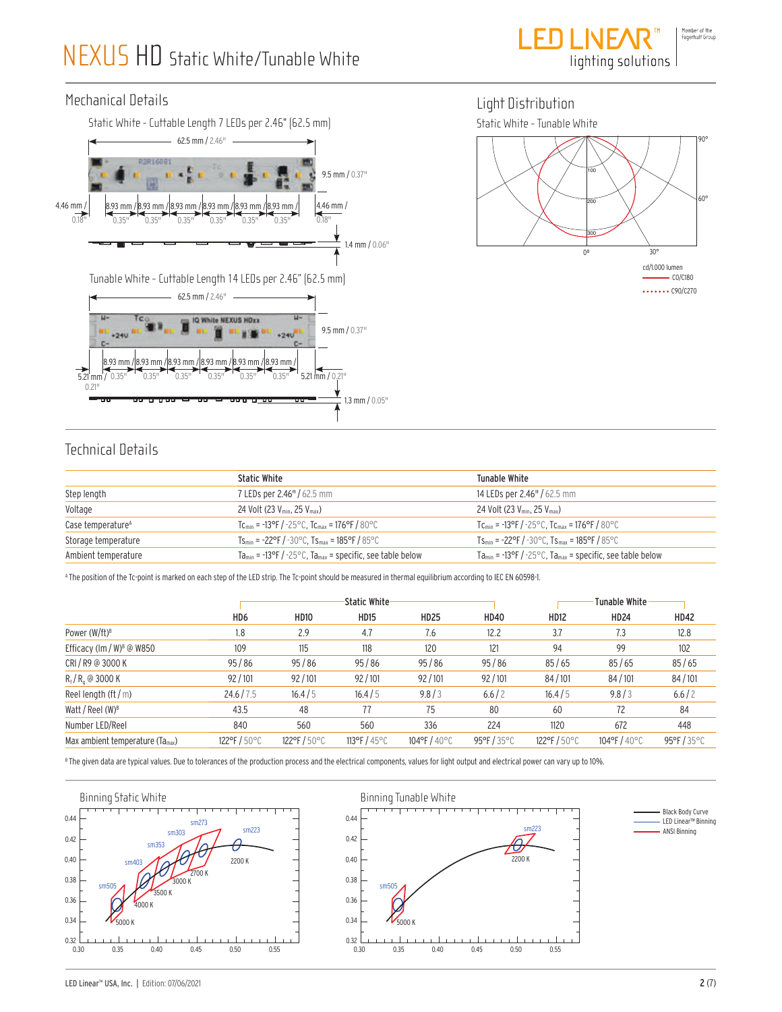$\overline{a}$ 



#### Mechanical Details





### Technical Details

|                               | <b>Static White</b>                                                                              | Tunable White                                                             |
|-------------------------------|--------------------------------------------------------------------------------------------------|---------------------------------------------------------------------------|
| Step length                   | 7 LEDs per 2.46" / 62.5 mm                                                                       | 14 LEDs per 2.46" / 62.5 mm                                               |
| Voltage                       | 24 Volt (23 V <sub>min</sub> , 25 V <sub>max</sub> )                                             | 24 Volt (23 V <sub>min</sub> , 25 V <sub>max</sub> )                      |
| Case temperature <sup>A</sup> | $TC_{min}$ = -13°F / -25°C, $TC_{max}$ = 176°F / 80°C                                            | $TC_{min}$ = -13°F / -25°C, $TC_{max}$ = 176°F / 80°C                     |
| Storage temperature           | $Ts_{\text{min}} = -22\degree F / -30\degree C$ . $Ts_{\text{max}} = 185\degree F / 85\degree C$ | $Ts_{min}$ = -22°F / -30°C, $Ts_{max}$ = 185°F / 85°C                     |
| Ambient temperature           | $Ta_{min}$ = -13°F / -25°C, Ta <sub>max</sub> = specific, see table below                        | $Ta_{min}$ = -13°F / -25°C, Ta <sub>max</sub> = specific, see table below |

A The position of the Tc-point is marked on each step of the LED strip. The Tc-point should be measured in thermal equilibrium according to IEC EN 60598-1.

|                                       |                 | <b>Static White</b> |              |                                  | Tunable White |                                  |                                  |                                  |
|---------------------------------------|-----------------|---------------------|--------------|----------------------------------|---------------|----------------------------------|----------------------------------|----------------------------------|
|                                       | HD <sub>6</sub> | <b>HD10</b>         | <b>HD15</b>  | <b>HD25</b>                      | <b>HD40</b>   | <b>HD12</b>                      | <b>HD24</b>                      | <b>HD42</b>                      |
| Power $(W/ft)^B$                      | 1.8             | 2.9                 | 4.7          | 7.6                              | 12.2          | 3.7                              | 7.3                              | 12.8                             |
| Efficacy (lm / W) <sup>8</sup> @ W850 | 109             | 115                 | 118          | 120                              | 121           | 94                               | 99                               | 102                              |
| CRI/R9 @ 3000 K                       | 95/86           | 95/86               | 95/86        | 95/86                            | 95/86         | 85/65                            | 85/65                            | 85/65                            |
| $R_f/R_a$ @ 3000 K                    | 92/101          | 92/101              | 92/101       | 92/101                           | 92/101        | 84/101                           | 84/101                           | 84/101                           |
| Reel length $(\text{ft}/\text{m})$    | 24.6/7.5        | 16.4/5              | 16.4/5       | 9.8/3                            | 6.6/2         | 16.4/5                           | 9.8/3                            | 6.6/2                            |
| Watt / Reel $(W)^B$                   | 43.5            | 48                  | 77           | 75                               | 80            | 60                               | 72                               | 84                               |
| Number LED/Reel                       | 840             | 560                 | 560          | 336                              | 224           | 1120                             | 672                              | 448                              |
| Max ambient temperature $(Ta_{max})$  | 122°F/50°C      | 122°F/50°C          | 113°F / 45°C | $104^{\circ}$ F / $40^{\circ}$ C | 95°F/35°C     | $122^{\circ}$ F / $50^{\circ}$ C | $104^{\circ}$ F / $40^{\circ}$ C | $95^{\circ}$ F / 35 $^{\circ}$ C |

 $^{\text{\tiny{\textup{B}}} }$  The given data are typical values. Due to tolerances of the production process and the electrical components, values for light output and electrical power can vary up to 10%.

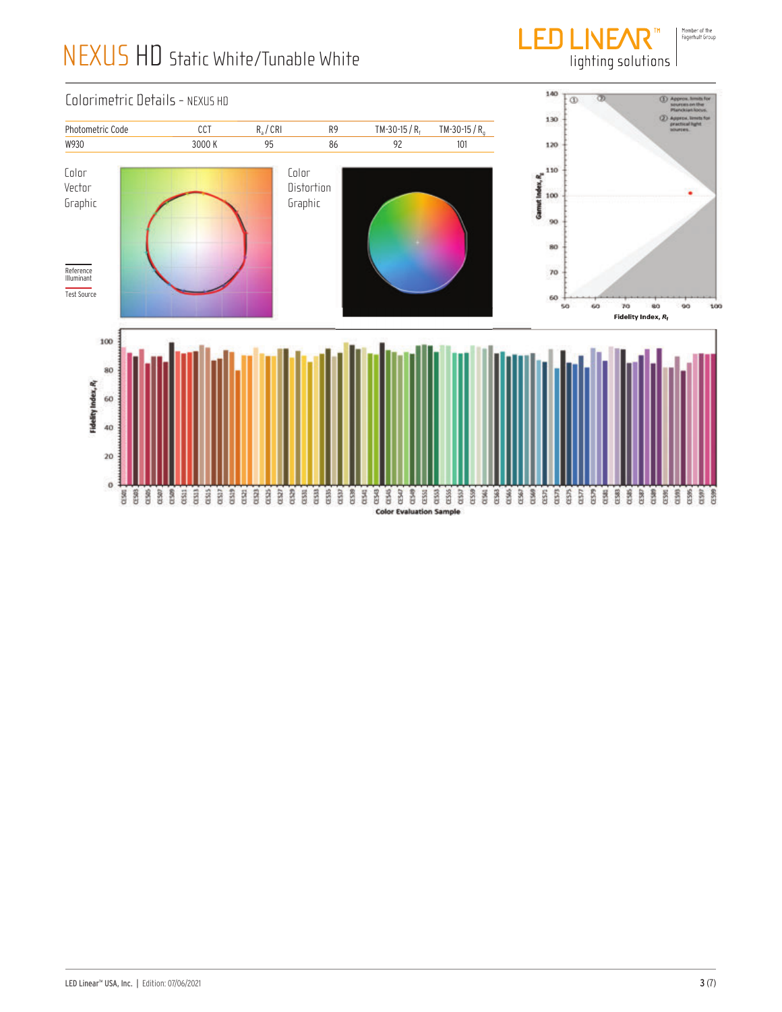

lighting solutions

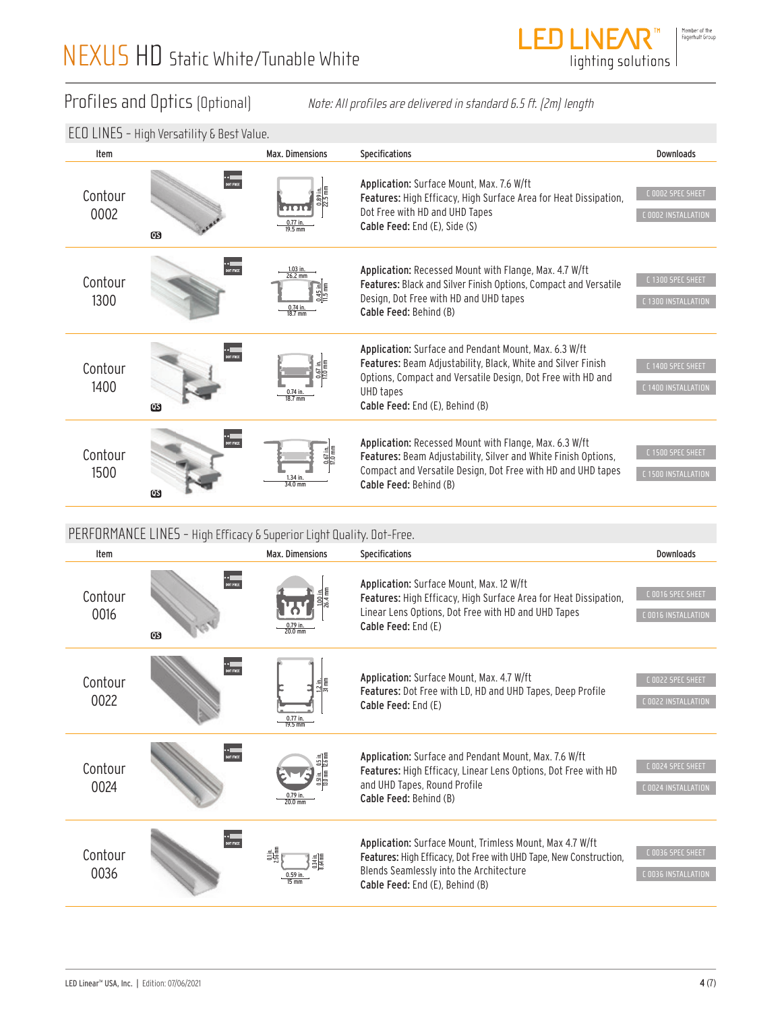

Profiles and Optics (Optional) Note: All profiles are delivered in standard 6.5 ft. (2m) length

|                 | LLU LIIVLJ <sup>–</sup> niyii vei saliiliy G Desi Value. |                                                                                                                                       |                                                                                                                                                                                                                                      |                                          |
|-----------------|----------------------------------------------------------|---------------------------------------------------------------------------------------------------------------------------------------|--------------------------------------------------------------------------------------------------------------------------------------------------------------------------------------------------------------------------------------|------------------------------------------|
| Item            |                                                          | <b>Max. Dimensions</b>                                                                                                                | Specifications                                                                                                                                                                                                                       | <b>Downloads</b>                         |
| Contour<br>0002 | DOT FREE<br>$\mathbf{G}$                                 | $\frac{0.89 \text{ in.}}{22.5 \text{ mm}}$<br>$0.77$ in.<br>19.5 mm                                                                   | Application: Surface Mount, Max. 7.6 W/ft<br>Features: High Efficacy, High Surface Area for Heat Dissipation,<br>Dot Free with HD and UHD Tapes<br>Cable Feed: End (E), Side (S)                                                     | C 0002 SPEC SHEET<br>C 0002 INSTALLATION |
| Contour<br>1300 | ●●<br>DOT FREE                                           | $\frac{1.03 \text{ in.}}{26.2 \text{ mm}}$<br>$\frac{0.45 \text{ in}}{11.5 \text{ mm}}$<br>$\frac{0.74 \text{ in.}}{18.7 \text{ mm}}$ | Application: Recessed Mount with Flange, Max. 4.7 W/ft<br><b>Features:</b> Black and Silver Finish Options, Compact and Versatile<br>Design, Dot Free with HD and UHD tapes<br>Cable Feed: Behind (B)                                | C 1300 SPEC SHEET<br>C 1300 INSTALLATION |
| Contour<br>1400 | ●●<br>DOT FREE<br>$\mathbf{G}$                           | 0.67 in.<br>17.0 mm<br>$\frac{0.74 \text{ in.}}{18.7 \text{ mm}}$                                                                     | Application: Surface and Pendant Mount, Max. 6.3 W/ft<br>Features: Beam Adjustability, Black, White and Silver Finish<br>Options, Compact and Versatile Design, Dot Free with HD and<br>UHD tapes<br>Cable Feed: End (E), Behind (B) | C 1400 SPEC SHEET<br>C 1400 INSTALLATION |
| Contour<br>1500 | DOT FREE<br>$\boldsymbol{\mathsf{\scriptstyle{OS}}}$     | 0.67 in.<br>17.0 mm<br>1.34 in.<br>34.0 mm                                                                                            | Application: Recessed Mount with Flange, Max. 6.3 W/ft<br>Features: Beam Adjustability, Silver and White Finish Options,<br>Compact and Versatile Design, Dot Free with HD and UHD tapes<br>Cable Feed: Behind (B)                   | C 1500 SPEC SHEET<br>C 1500 INSTALLATION |

### PERFORMANCE LINES - High Efficacy & Superior Light Quality. Dot-Free.

| Item                                                    | ECO LINES - High Versatility & Best Value.                            | Max. Dimensions                                                     |                                                                                                                                                                                                                                             | <b>Downloads</b>                         |
|---------------------------------------------------------|-----------------------------------------------------------------------|---------------------------------------------------------------------|---------------------------------------------------------------------------------------------------------------------------------------------------------------------------------------------------------------------------------------------|------------------------------------------|
| Contour<br>0002                                         | DOT FREE<br>Œ                                                         | $0.77$ in.<br>19.5 mm                                               | Specifications<br>Application: Surface Mount, Max. 7.6 W/ft<br>Features: High Efficacy, High Surface Area for Heat Dissipation,<br>Dot Free with HD and UHD Tapes<br>Cable Feed: End (E), Side (S)                                          | C 0002 SPEC SHEET<br>C 0002 INSTALLATION |
| Contour<br>1300                                         | <b>OUT FREE</b>                                                       | $\frac{1.03 \text{ in.}}{26.2 \text{ mm}}$<br>$0.74$ in.<br>18.7 mm | Application: Recessed Mount with Flange, Max. 4.7 W/ft<br>Features: Black and Silver Finish Options, Compact and Versatile<br>Design, Dot Free with HD and UHD tapes<br>Cable Feed: Behind (B)                                              | C 1300 SPEC SHEET<br>C 1300 INSTALLATION |
| Contour<br>1400                                         | $\bf \omega$                                                          |                                                                     | Application: Surface and Pendant Mount, Max. 6.3 W/ft<br>Features: Beam Adjustability, Black, White and Silver Finish<br>Options, Compact and Versatile Design, Dot Free with HD and<br><b>UHD</b> tapes<br>Cable Feed: End (E), Behind (B) | C 1400 SPEC SHEET<br>C 1400 INSTALLATION |
| Contour<br>1500                                         | DOT FREE<br>Œ                                                         | 34.0 mm                                                             | Application: Recessed Mount with Flange, Max. 6.3 W/ft<br>Features: Beam Adjustability, Silver and White Finish Options,<br>Compact and Versatile Design, Dot Free with HD and UHD tapes<br>Cable Feed: Behind (B)                          | C 1500 SPEC SHEET<br>C 1500 INSTALLATION |
|                                                         | PERFORMANCE LINES - High Efficacy & Superior Light Quality. Dot-Free. |                                                                     |                                                                                                                                                                                                                                             |                                          |
| Item                                                    |                                                                       | Max. Dimensions                                                     | <b>Specifications</b>                                                                                                                                                                                                                       | <b>Downloads</b>                         |
| Contour<br>0016                                         | * <b>* 11</b><br>DOT FREE<br>$\bf \omega$                             | $\frac{0.79 \text{ in.}}{20.0 \text{ mm}}$                          | Application: Surface Mount, Max. 12 W/ft<br>Features: High Efficacy, High Surface Area for Heat Dissipation,<br>Linear Lens Options, Dot Free with HD and UHD Tapes<br>Cable Feed: End (E)                                                  | C 0016 SPEC SHEET<br>C 0016 INSTALLATION |
| Contour<br>0022                                         | DOT FREE                                                              | 0.77 in<br>19.5 mm                                                  | Application: Surface Mount, Max. 4.7 W/ft<br>Features: Dot Free with LD, HD and UHD Tapes, Deep Profile<br>Cable Feed: End (E)                                                                                                              | C 0022 SPEC SHEET<br>L UU22 INSTALLATIUN |
| Contour<br>0024                                         | * * <b>Example</b><br>Dot free                                        | $\frac{0.79 \text{ m}}{20.0 \text{ mm}}$                            | Application: Surface and Pendant Mount, Max. 7.6 W/ft<br>Features: High Efficacy, Linear Lens Options, Dot Free with HD<br>and UHD Tapes, Round Profile<br>Cable Feed: Behind (B)                                                           | C 0024 SPEC SHEET<br>C 0024 INSTALLATION |
| Contour<br>0036                                         | <b>DOT FREE</b>                                                       |                                                                     | Application: Surface Mount, Trimless Mount, Max 4.7 W/ft<br>Features: High Efficacy, Dot Free with UHD Tape, New Construction,<br>Blends Seamlessly into the Architecture<br>Cable Feed: End (E), Behind (B)                                | C 0036 SPEC SHEET<br>C 0036 INSTALLATION |
| LED Linear <sup>™</sup> USA, Inc.   Edition: 07/06/2021 |                                                                       |                                                                     |                                                                                                                                                                                                                                             | 4(7)                                     |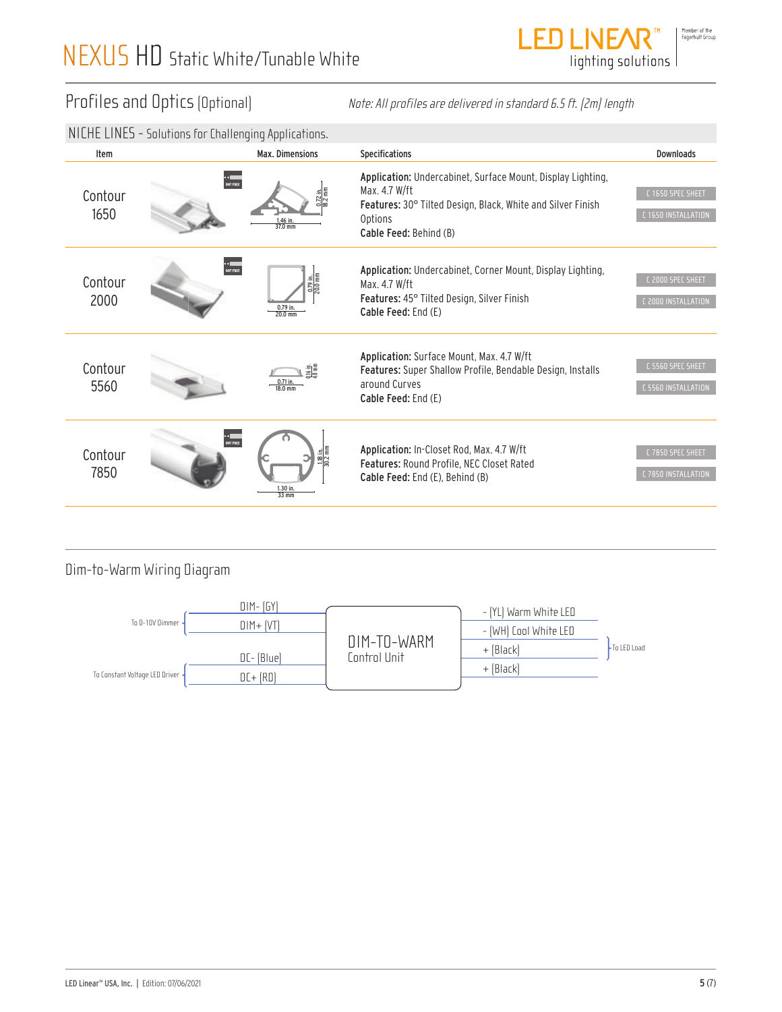

### Profiles and Optics (Optional)

|                                | Profiles and Optics (Optional)                          |                                                                   |                                                                                                                           | Note: All profiles are delivered in standard 6.5 ft. (2m) length                                                                                     |                                          |  |
|--------------------------------|---------------------------------------------------------|-------------------------------------------------------------------|---------------------------------------------------------------------------------------------------------------------------|------------------------------------------------------------------------------------------------------------------------------------------------------|------------------------------------------|--|
|                                | NICHE LINES - Solutions for Challenging Applications.   |                                                                   |                                                                                                                           |                                                                                                                                                      |                                          |  |
| Item                           |                                                         | Max. Dimensions                                                   | Specifications                                                                                                            |                                                                                                                                                      | Downloads                                |  |
| Contour<br>1650                | DOT FREE                                                | 1.46 in<br>37.0 mm                                                | Max. 4.7 W/ft<br>Options<br>Cable Feed: Behind (B)                                                                        | Application: Undercabinet, Surface Mount, Display Lighting,<br>Features: 30° Tilted Design, Black, White and Silver Finish                           | C 1650 SPEC SHEET<br>C 1650 INSTALLATION |  |
| Contour<br>2000                | DOT FREE                                                | $\frac{0.79 \text{ in.}}{20.0 \text{ mm}}$<br>0.79 in.<br>20.0 mm | Max. 4.7 W/ft<br>Cable Feed: End (E)                                                                                      | Application: Undercabinet, Corner Mount, Display Lighting,<br>C 2000 SPEC SHEET<br>Features: 45° Tilted Design, Silver Finish<br>C 2000 INSTALLATION |                                          |  |
| Contour<br>5560                |                                                         | 18.0 mm                                                           | Application: Surface Mount, Max. 4.7 W/ft<br>around Curves<br>Cable Feed: End (E)                                         | Features: Super Shallow Profile, Bendable Design, Installs                                                                                           | C 5560 SPEC SHEET<br>C 5560 INSTALLATION |  |
| Contour<br>7850                |                                                         | $\frac{118 \text{ in.}}{30.2 \text{ mm}}$<br>$33 \text{ mm}$      | Application: In-Closet Rod, Max. 4.7 W/ft<br>Features: Round Profile, NEC Closet Rated<br>Cable Feed: End (E), Behind (B) |                                                                                                                                                      | C 7850 SPEC SHEET<br>C 7850 INSTALLATION |  |
| To Constant Voltage LED Driver | Dim-to-Warm Wiring Diagram<br>To 0-10V Dimmer           | $DIM - [GY]$<br>$DIM + [VT]$<br>DC- (Blue)<br>$DC + [RD]$         | DIM-TO-WARM<br>Control Unit                                                                                               | - [YL] Warm White LED<br>- [WH] Cool White LED<br>+ [Black]<br>+ [Black]                                                                             | - To LED Load                            |  |
|                                | LED Linear <sup>™</sup> USA, Inc.   Edition: 07/06/2021 |                                                                   |                                                                                                                           |                                                                                                                                                      | 5(7)                                     |  |

## .<br>1850 Dim-to-Warm Wiring Diagram

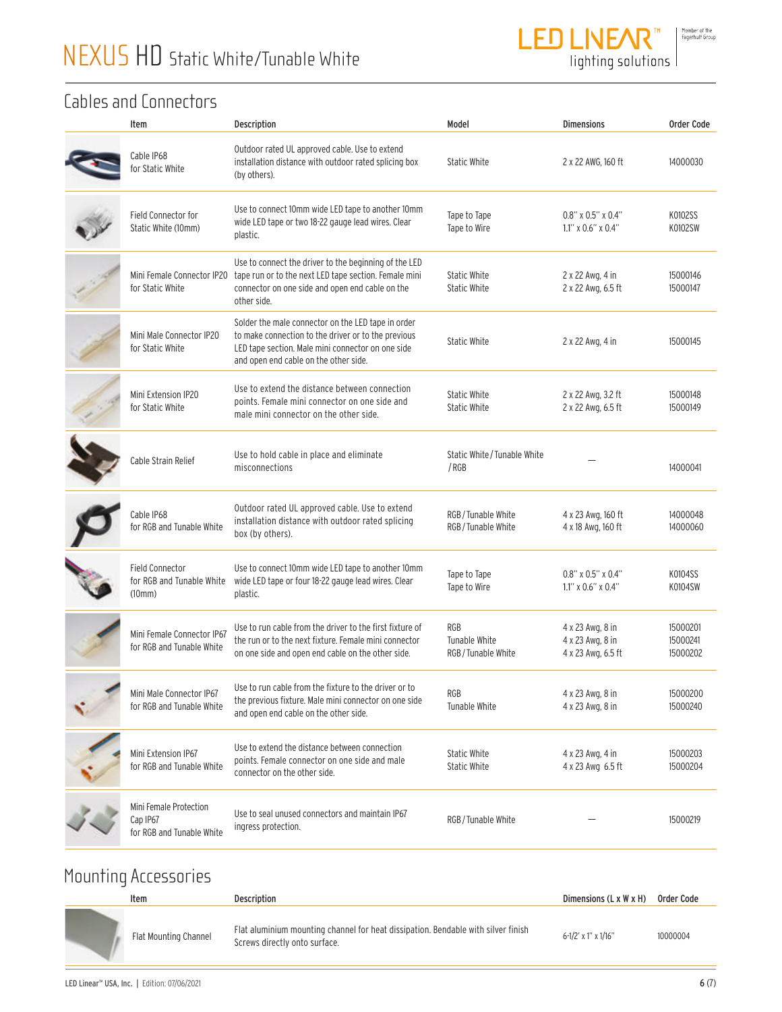

lighting solutions

### Cables and Connectors

| Item                                                            | Description                                                                                                                                                                                             | Model                                            | <b>Dimensions</b>                                          | Order Code                       |
|-----------------------------------------------------------------|---------------------------------------------------------------------------------------------------------------------------------------------------------------------------------------------------------|--------------------------------------------------|------------------------------------------------------------|----------------------------------|
| Cable IP68<br>for Static White                                  | Outdoor rated UL approved cable. Use to extend<br>installation distance with outdoor rated splicing box<br>(by others).                                                                                 | <b>Static White</b>                              | 2 x 22 AWG, 160 ft                                         | 14000030                         |
| Field Connector for<br>Static White (10mm)                      | Use to connect 10mm wide LED tape to another 10mm<br>wide LED tape or two 18-22 gauge lead wires. Clear<br>plastic.                                                                                     | Tape to Tape<br>Tape to Wire                     | $0.8$ " x $0.5$ " x $0.4$ "<br>$1.1''$ x $0.6''$ x $0.4''$ | K0102SS<br>K0102SW               |
| Mini Female Connector IP20<br>for Static White                  | Use to connect the driver to the beginning of the LED<br>tape run or to the next LED tape section. Female mini<br>connector on one side and open end cable on the<br>other side.                        | <b>Static White</b><br>Static White              | 2 x 22 Awg, 4 in<br>2 x 22 Awg, 6.5 ft                     | 15000146<br>15000147             |
| Mini Male Connector IP20<br>for Static White                    | Solder the male connector on the LED tape in order<br>to make connection to the driver or to the previous<br>LED tape section. Male mini connector on one side<br>and open end cable on the other side. | <b>Static White</b>                              | 2 x 22 Awg, 4 in                                           | 15000145                         |
| Mini Extension IP20<br>for Static White                         | Use to extend the distance between connection<br>points. Female mini connector on one side and<br>male mini connector on the other side.                                                                | <b>Static White</b><br><b>Static White</b>       | 2 x 22 Awg, 3.2 ft<br>2 x 22 Awg, 6.5 ft                   | 15000148<br>15000149             |
| Cable Strain Relief                                             | Use to hold cable in place and eliminate<br>misconnections                                                                                                                                              | Static White / Tunable White<br>/RGB             |                                                            | 14000041                         |
| Cable IP68<br>for RGB and Tunable White                         | Outdoor rated UL approved cable. Use to extend<br>installation distance with outdoor rated splicing<br>box (by others).                                                                                 | RGB / Tunable White<br>RGB / Tunable White       | 4 x 23 Awg, 160 ft<br>4 x 18 Awg, 160 ft                   | 14000048<br>14000060             |
| <b>Field Connector</b><br>for RGB and Tunable White<br>(10mm)   | Use to connect 10mm wide LED tape to another 10mm<br>wide LED tape or four 18-22 gauge lead wires. Clear<br>plastic.                                                                                    | Tape to Tape<br>Tape to Wire                     | $0.8$ " x $0.5$ " x $0.4$ "<br>$1.1''$ x $0.6''$ x $0.4''$ | K0104SS<br>K0104SW               |
| Mini Female Connector IP67<br>for RGB and Tunable White         | Use to run cable from the driver to the first fixture of<br>the run or to the next fixture. Female mini connector<br>on one side and open end cable on the other side.                                  | <b>RGB</b><br>Tunable White<br>RGB/Tunable White | 4 x 23 Awg, 8 in<br>4 x 23 Awg, 8 in<br>4 x 23 Awg, 6.5 ft | 15000201<br>15000241<br>15000202 |
| Mini Male Connector IP67<br>for RGB and Tunable White           | Use to run cable from the fixture to the driver or to<br>the previous fixture. Male mini connector on one side<br>and open end cable on the other side.                                                 | RGB<br>Tunable White                             | 4 x 23 Awg, 8 in<br>4 x 23 Awg, 8 in                       | 15000200<br>15000240             |
| Mini Extension IP67<br>for RGB and Tunable White                | Use to extend the distance between connection<br>points. Female connector on one side and male<br>connector on the other side.                                                                          | <b>Static White</b><br><b>Static White</b>       | 4 x 23 Awg, 4 in<br>4 x 23 Awg 6.5 ft                      | 15000203<br>15000204             |
| Mini Female Protection<br>Cap IP67<br>for RGB and Tunable White | Use to seal unused connectors and maintain IP67<br>ingress protection.                                                                                                                                  | RGB/Tunable White                                |                                                            | 15000219                         |
|                                                                 |                                                                                                                                                                                                         |                                                  |                                                            |                                  |

# Mounting Accessories

| Item                  | Description                                                                                                        | Dimensions $(L \times W \times H)$ | Order Code |
|-----------------------|--------------------------------------------------------------------------------------------------------------------|------------------------------------|------------|
| Flat Mounting Channel | Flat aluminium mounting channel for heat dissipation. Bendable with silver finish<br>Screws directly onto surface. | $6 - 1/2'$ x 1" x $1/16"$          | 10000004   |